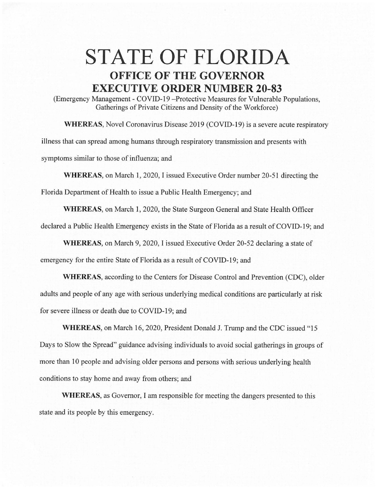## **STATE OF FLORIDA OFFICE OF THE GOVERNOR EXECUTIVE ORDER NUMBER 20-83**

(Emergency Management - COVID-19 - Protective Measures for Vulnerable Populations, Gatherings of Private Citizens and Density of the Workforce)

**WHEREAS,** Novel Coronavirus Disease 2019 (COVID-19) is a severe acute respiratory illness that can spread among humans through respiratory transmission and presents with symptoms similar to those of influenza; and

**WHEREAS,** on March 1, 2020, I issued Executive Order number 20-51 directing the

Florida Department of Health to issue a Public Health Emergency; and

**WHEREAS,** on March 1, 2020, the State Surgeon General and State Health Officer declared a Public Health Emergency exists in the State of Florida as a result of COVID-19; and

**WHEREAS,** on March 9, 2020, I issued Executive Order 20-52 declaring a state of emergency for the entire State of Florida as a result of COVID-19; and

**WHEREAS,** according to the Centers for Disease Control and Prevention (CDC), older adults and people of any age with serious underlying medical conditions are particularly at risk for severe illness or death due to COVID-19; and

**WHEREAS,** on March 16, 2020, President Donald J. Trump and the CDC issued "15 Days to Slow the Spread" guidance advising individuals to avoid social gatherings in groups of more than 10 people and advising older persons and persons with serious underlying health conditions to stay home and away from others; and

**WHEREAS,** as Governor, I am responsible for meeting the dangers presented to this state and its people by this emergency.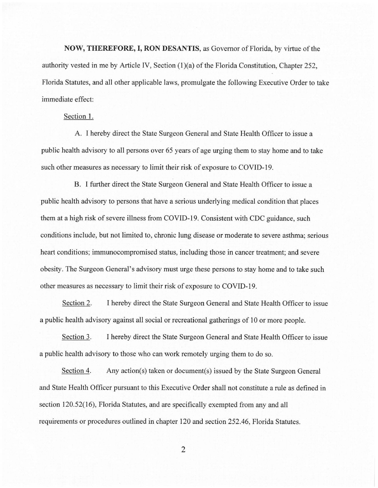**NOW, THEREFORE, I, RON DESANTIS,** as Governor of Florida, by virtue of the authority vested in me by Article IV, Section (1)(a) of the Florida Constitution, Chapter 252, Florida Statutes, and all other applicable laws, promulgate the following Executive Order to take immediate effect:

## Section 1.

A. I hereby direct the State Surgeon General and State Health Officer to issue a public health advisory to all persons over 65 years of age urging them to stay home and to take such other measures as necessary to limit their risk of exposure to COVID-19.

B. I further direct the State Surgeon General and State Health Officer to issue a public health advisory to persons that have a serious underlying medical condition that places them at a high risk of severe illness from COVID-19. Consistent with CDC guidance, such conditions include, but not limited to, chronic lung disease or moderate to severe asthma; serious heart conditions; immunocompromised status, including those in cancer treatment; and severe obesity. The Surgeon General's advisory must urge these persons to stay home and to take such other measures as necessary to limit their risk of exposure to COVID-19.

Section 2. I hereby direct the State Surgeon General and State Health Officer to issue a public health advisory against all social or recreational gatherings of 10 or more people.

Section 3. I hereby direct the State Surgeon General and State Health Officer to issue a public health advisory to those who can work remotely urging them to do so.

Section 4. Any action(s) taken or document(s) issued by the State Surgeon General and State Health Officer pursuant to this Executive Order shall not constitute a rule as defined in section 120.52(16), Florida Statutes, and are specifically exempted from any and all requirements or procedures outlined in chapter 120 and section 252.46, Florida Statutes.